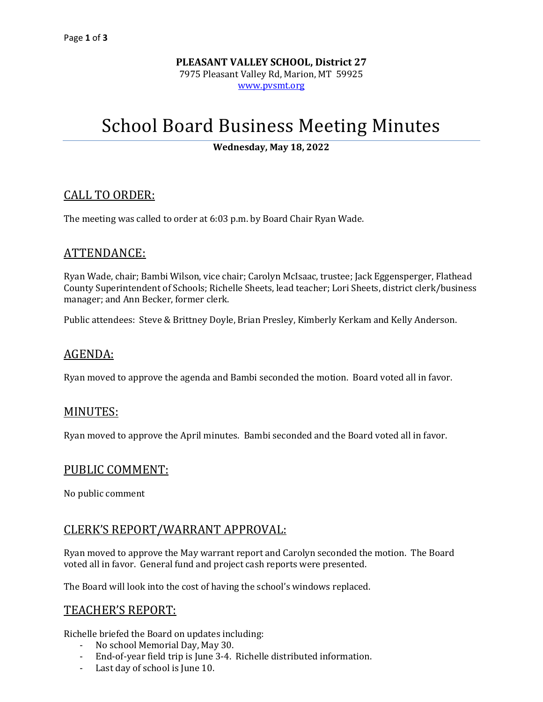# **PLEASANT VALLEY SCHOOL, District 27** 7975 Pleasant Valley Rd, Marion, MT 59925 [www.pvsmt.org](http://www.pvsmt.org/)

# School Board Business Meeting Minutes

**Wednesday, May 18, 2022**

#### CALL TO ORDER:

The meeting was called to order at 6:03 p.m. by Board Chair Ryan Wade.

#### ATTENDANCE:

Ryan Wade, chair; Bambi Wilson, vice chair; Carolyn McIsaac, trustee; Jack Eggensperger, Flathead County Superintendent of Schools; Richelle Sheets, lead teacher; Lori Sheets, district clerk/business manager; and Ann Becker, former clerk.

Public attendees: Steve & Brittney Doyle, Brian Presley, Kimberly Kerkam and Kelly Anderson.

### AGENDA:

Ryan moved to approve the agenda and Bambi seconded the motion. Board voted all in favor.

#### MINUTES:

Ryan moved to approve the April minutes. Bambi seconded and the Board voted all in favor.

#### PUBLIC COMMENT:

No public comment

# CLERK'S REPORT/WARRANT APPROVAL:

Ryan moved to approve the May warrant report and Carolyn seconded the motion. The Board voted all in favor. General fund and project cash reports were presented.

The Board will look into the cost of having the school's windows replaced.

# TEACHER'S REPORT:

Richelle briefed the Board on updates including:

- No school Memorial Day, May 30.
- End-of-year field trip is June 3-4. Richelle distributed information.
- Last day of school is June 10.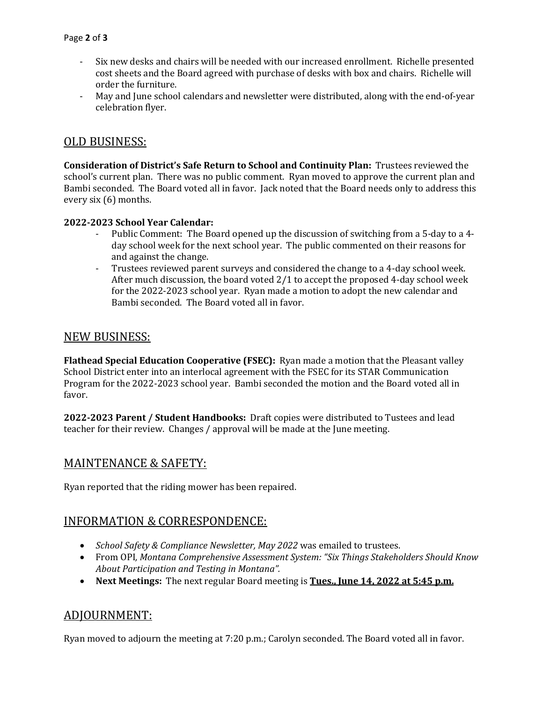- Six new desks and chairs will be needed with our increased enrollment. Richelle presented cost sheets and the Board agreed with purchase of desks with box and chairs. Richelle will order the furniture.
- May and June school calendars and newsletter were distributed, along with the end-of-year celebration flyer.

### OLD BUSINESS:

**Consideration of District's Safe Return to School and Continuity Plan:** Trustees reviewed the school's current plan. There was no public comment. Ryan moved to approve the current plan and Bambi seconded. The Board voted all in favor. Jack noted that the Board needs only to address this every six (6) months.

#### **2022-2023 School Year Calendar:**

- Public Comment: The Board opened up the discussion of switching from a 5-day to a 4day school week for the next school year. The public commented on their reasons for and against the change.
- Trustees reviewed parent surveys and considered the change to a 4-day school week. After much discussion, the board voted 2/1 to accept the proposed 4-day school week for the 2022-2023 school year. Ryan made a motion to adopt the new calendar and Bambi seconded. The Board voted all in favor.

#### NEW BUSINESS:

**Flathead Special Education Cooperative (FSEC):** Ryan made a motion that the Pleasant valley School District enter into an interlocal agreement with the FSEC for its STAR Communication Program for the 2022-2023 school year. Bambi seconded the motion and the Board voted all in favor.

**2022-2023 Parent / Student Handbooks:** Draft copies were distributed to Tustees and lead teacher for their review. Changes / approval will be made at the June meeting.

#### MAINTENANCE & SAFETY:

Ryan reported that the riding mower has been repaired.

# INFORMATION & CORRESPONDENCE:

- *School Safety & Compliance Newsletter, May 2022* was emailed to trustees.
- From OPI*, Montana Comprehensive Assessment System: "Six Things Stakeholders Should Know About Participation and Testing in Montana".*
- **Next Meetings:** The next regular Board meeting is **Tues., June 14, 2022 at 5:45 p.m.**

# ADJOURNMENT:

Ryan moved to adjourn the meeting at 7:20 p.m.; Carolyn seconded. The Board voted all in favor.